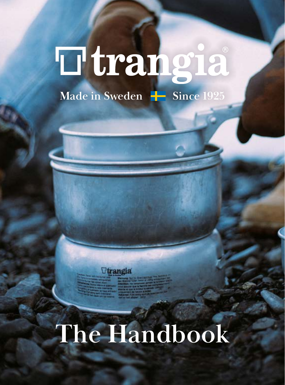# **Ttrangia Made in Sweden**  $\frac{1}{2}$  **Since 1925**

*<u>Ttrangia</u>* 

# **The Handbook**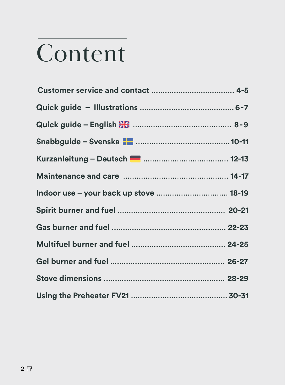# **Content**

| Snabbguide - Svenska <b>Paradicional and Snabbguide - Svenska Paradicional Anti-</b> |  |
|--------------------------------------------------------------------------------------|--|
| Kurzanleitung – Deutsch <b>Demanuaritan (b. 1943</b> )                               |  |
|                                                                                      |  |
| Indoor use - your back up stove  18-19                                               |  |
|                                                                                      |  |
|                                                                                      |  |
|                                                                                      |  |
|                                                                                      |  |
|                                                                                      |  |
|                                                                                      |  |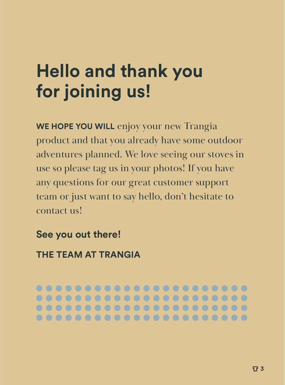## **Hello and thank you for joining us!**

**WE HOPE YOU WILL** enjoy your new Trangia product and that you already have some outdoor adventures planned. We love seeing our stoves in use so please tag us in your photos! If you have any questions for our great customer support team or just want to say hello, don't hesitate to contact us!

**See you out there!** 

**THE TEAM AT TRANGIA** 

...................... **......................**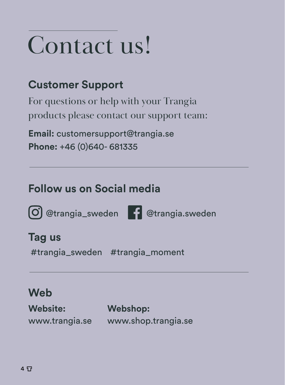# Contact us!

#### **Customer Support**

For questions or help with your Trangia products please contact our support team:

**Email:** customersupport@trangia.se **Phone:** +46 (0)640- 681335

#### **Follow us on Social media**

@trangia\_sweden @trangia.sweden



#### **Tag us**

#trangia\_sweden #trangia\_moment

#### **Web**

**Website:**  www.trangia.se **Webshop:**  www.shop.trangia.se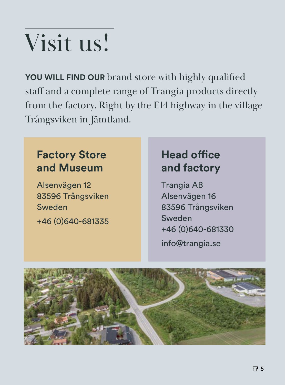# Visit us!

**YOU WILL FIND OUR** brand store with highly qualified staff and a complete range of Trangia products directly from the factory. Right by the E14 highway in the village Trångsviken in Jämtland.

#### **Factory Store and Museum**

Alsenvägen 12 83596 Trångsviken Sweden +46 (0)640-681335

#### **Head office and factory**

Trangia AB Alsenvägen 16 83596 Trångsviken Sweden +46 (0)640-681330 info@trangia.se

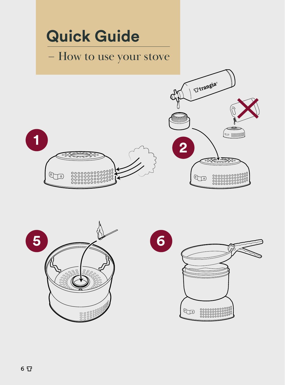

 $\begin{smallmatrix}\mathbb{G}&&\mathbb{S}\end{smallmatrix}$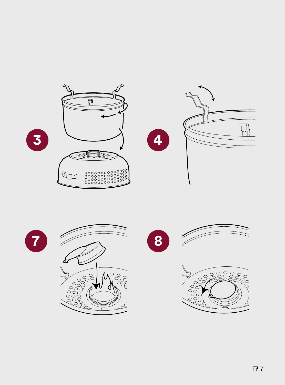







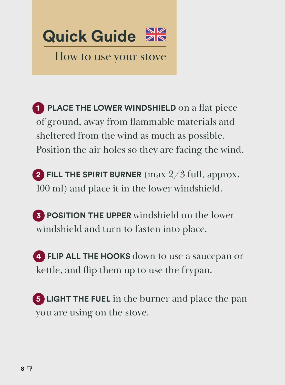

– How to use your stove

**1 PLACE THE LOWER WINDSHIELD** on a flat piece of ground, away from flammable materials and sheltered from the wind as much as possible. Position the air holes so they are facing the wind.

**2 FILL THE SPIRIT BURNER** (max 2/3 full, approx. 100 ml) and place it in the lower windshield.

**3 POSITION THE UPPER** windshield on the lower windshield and turn to fasten into place.

**4 FLIP ALL THE HOOKS** down to use a saucepan or kettle, and flip them up to use the frypan.

**5 LIGHT THE FUEL** in the burner and place the pan you are using on the stove.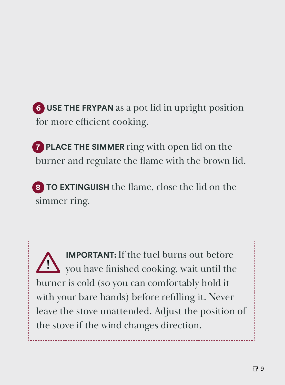**6 USE THE FRYPAN** as a pot lid in upright position for more efficient cooking.

**7 PLACE THE SIMMER** ring with open lid on the burner and regulate the flame with the brown lid.

**8 TO EXTINGUISH** the flame, close the lid on the simmer ring.

**IMPORTANT:**If the fuel burns out before you have finished cooking, wait until the burner is cold (so you can comfortably hold it with your bare hands) before refilling it. Never leave the stove unattended. Adjust the position of the stove if the wind changes direction. !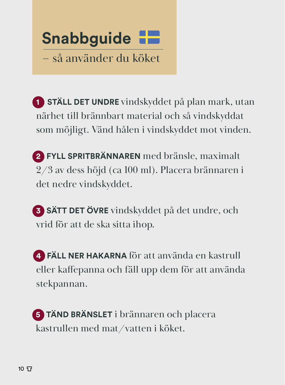

**1 STÄLL DET UNDRE** vindskyddet på plan mark, utan närhet till brännbart material och så vindskyddat som möjligt. Vänd hålen i vindskyddet mot vinden.

**2 FYLL SPRITBRÄNNAREN** med bränsle, maximalt 2/3 av dess höjd (ca 100 ml). Placera brännaren i det nedre vindskyddet.

**3 SÄTT DET ÖVRE** vindskyddet på det undre, och vrid för att de ska sitta ihop.

**4 FÄLL NER HAKARNA** för att använda en kastrull eller kaffepanna och fäll upp dem för att använda stekpannan.

**5 TÄND BRÄNSLET** i brännaren och placera kastrullen med mat/vatten i köket.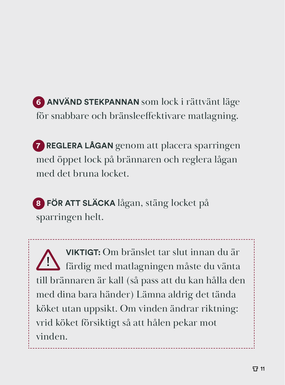**6 ANVÄND STEKPANNAN** som lock i rättvänt läge för snabbare och bränsleeffektivare matlagning.

**7 REGLERA LÅGAN** genom att placera sparringen med öppet lock på brännaren och reglera lågan med det bruna locket.

**8 FÖR ATT SLÄCKA** lågan, stäng locket på sparringen helt.

**VIKTIGT:** Om bränslet tar slut innan du är färdig med matlagningen måste du vänta till brännaren är kall (så pass att du kan hålla den med dina bara händer) Lämna aldrig det tända köket utan uppsikt. Om vinden ändrar riktning: vrid köket försiktigt så att hålen pekar mot vinden. !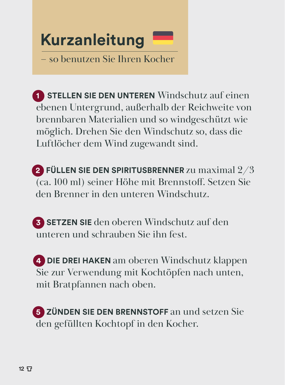

**1 STELLEN SIE DEN UNTEREN** Windschutz auf einen ebenen Untergrund, außerhalb der Reichweite von brennbaren Materialien und so windgeschützt wie möglich. Drehen Sie den Windschutz so, dass die Luftlöcher dem Wind zugewandt sind.

**2 FÜLLEN SIE DEN SPIRITUSBRENNER** zu maximal 2/3 (ca. 100 ml) seiner Höhe mit Brennstoff. Setzen Sie den Brenner in den unteren Windschutz.

**3 SETZEN SIE** den oberen Windschutz auf den unteren und schrauben Sie ihn fest.

**4 DIE DREI HAKEN** am oberen Windschutz klappen Sie zur Verwendung mit Kochtöpfen nach unten, mit Bratpfannen nach oben.

**5 ZÜNDEN SIE DEN BRENNSTOFF** an und setzen Sie den gefüllten Kochtopf in den Kocher.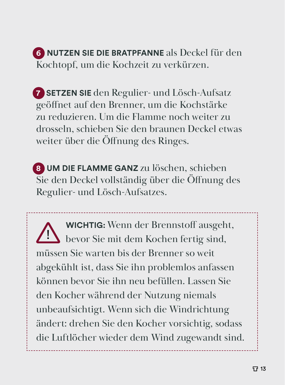#### **6 NUTZEN SIE DIE BRATPFANNE** als Deckel für den Kochtopf, um die Kochzeit zu verkürzen.

**7 SETZEN SIE** den Regulier- und Lösch-Aufsatz geöffnet auf den Brenner, um die Kochstärke zu reduzieren. Um die Flamme noch weiter zu drosseln, schieben Sie den braunen Deckel etwas weiter über die Öffnung des Ringes.

**8 UM DIE FLAMME GANZ** zu löschen, schieben Sie den Deckel vollständig über die Öffnung des Regulier- und Lösch-Aufsatzes.

**WICHTIG:** Wenn der Brennstoff ausgeht, bevor Sie mit dem Kochen fertig sind, müssen Sie warten bis der Brenner so weit abgekühlt ist, dass Sie ihn problemlos anfassen können bevor Sie ihn neu befüllen. Lassen Sie den Kocher während der Nutzung niemals unbeaufsichtigt. Wenn sich die Windrichtung ändert: drehen Sie den Kocher vorsichtig, sodass die Luftlöcher wieder dem Wind zugewandt sind. !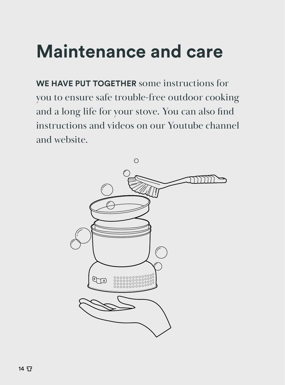## **Maintenance and care**

**WE HAVE PUT TOGETHER** some instructions for you to ensure safe trouble-free outdoor cooking and a long life for your stove. You can also find instructions and videos on our Youtube channel and website.

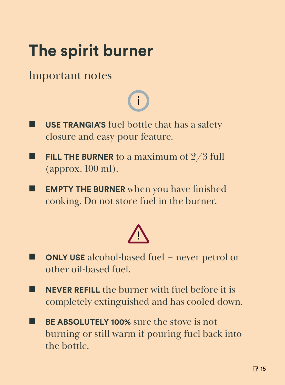## **The spirit burner**

#### Important notes

## i

- **USE TRANGIA'S** fuel bottle that has a safety closure and easy-pour feature.
- **FILL THE BURNER** to a maximum of 2/3 full (approx. 100 ml).
- **EMPTY THE BURNER** when you have finished cooking. Do not store fuel in the burner.



- **ONLY USE** alcohol-based fuel never petrol or other oil-based fuel.
- **NEVER REFILL** the burner with fuel before it is completely extinguished and has cooled down.
- **BE ABSOLUTELY 100%** sure the stove is not burning or still warm if pouring fuel back into the bottle.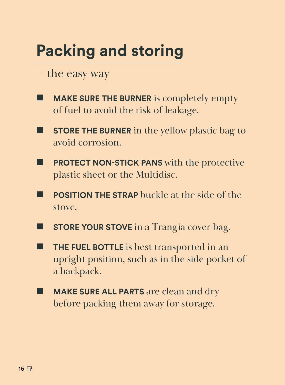## **Packing and storing**

- the easy way
- **MAKE SURE THE BURNER** is completely empty of fuel to avoid the risk of leakage.
- **STORE THE BURNER** in the yellow plastic bag to avoid corrosion.
- **PROTECT NON-STICK PANS** with the protective plastic sheet or the Multidisc.
- **POSITION THE STRAP** buckle at the side of the stove.
- **STORE YOUR STOVE** in a Trangia cover bag.
- **THE FUEL BOTTLE** is best transported in an upright position, such as in the side pocket of a backpack.
- **MAKE SURE ALL PARTS** are clean and dry before packing them away for storage.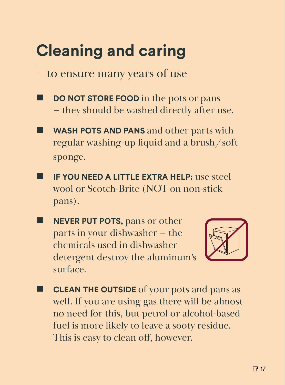## **Cleaning and caring**

– to ensure many years of use

- **DO NOT STORE FOOD** in the pots or pans – they should be washed directly after use.
- **WASH POTS AND PANS** and other parts with regular washing-up liquid and a brush/soft sponge.
- **IF YOU NEED A LITTLE EXTRA HELP:** use steel wool or Scotch-Brite (NOT on non-stick pans).
- **NEVER PUT POTS, pans or other** parts in your dishwasher – the chemicals used in dishwasher detergent destroy the aluminum's surface.



 **CLEAN THE OUTSIDE** of your pots and pans as well. If you are using gas there will be almost no need for this, but petrol or alcohol-based fuel is more likely to leave a sooty residue. This is easy to clean off, however.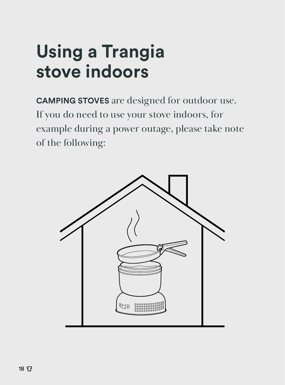## **Using a Trangia stove indoors**

**CAMPING STOVES** are designed for outdoor use. If you do need to use your stove indoors, for example during a power outage, please take note of the following:

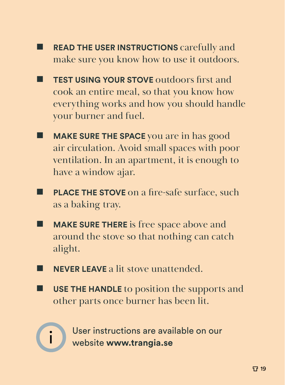- **READ THE USER INSTRUCTIONS** carefully and make sure you know how to use it outdoors.
- **TEST USING YOUR STOVE** outdoors first and cook an entire meal, so that you know how everything works and how you should handle your burner and fuel.
- **MAKE SURE THE SPACE** you are in has good air circulation. Avoid small spaces with poor ventilation. In an apartment, it is enough to have a window ajar.
- **PLACE THE STOVE** on a fire-safe surface, such as a baking tray.
- **MAKE SURE THERE** is free space above and around the stove so that nothing can catch alight.
- **NEVER LEAVE** a lit stove unattended.
- **USE THE HANDLE** to position the supports and other parts once burner has been lit.



User instructions are available on our<br>in website www.trangia.se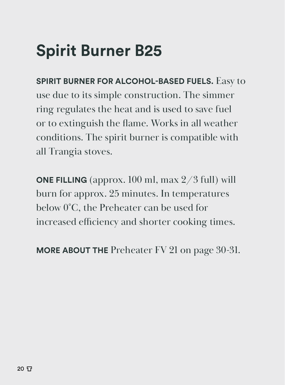## **Spirit Burner B25**

**SPIRIT BURNER FOR ALCOHOL-BASED FUELS.** Easy to use due to its simple construction. The simmer ring regulates the heat and is used to save fuel or to extinguish the flame. Works in all weather conditions. The spirit burner is compatible with all Trangia stoves.

**ONE FILLING** (approx. 100 ml, max 2/3 full) will burn for approx. 25 minutes. In temperatures below 0°C, the Preheater can be used for increased efficiency and shorter cooking times.

**MORE ABOUT THE** Preheater FV 21 on page 30-31.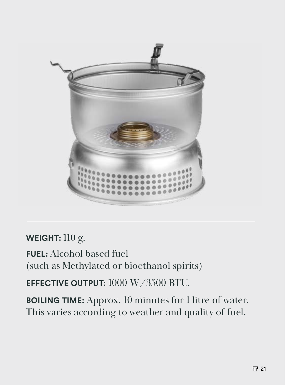

#### **WEIGHT:** 110 g.

**FUEL:** Alcohol based fuel (such as Methylated or bioethanol spirits)

**EFFECTIVE OUTPUT:** 1000 W/3500 BTU.

**BOILING TIME:** Approx. 10 minutes for 1 litre of water. This varies according to weather and quality of fuel.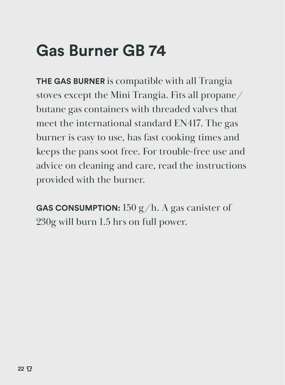## **Gas Burner GB 74**

**THE GAS BURNER** is compatible with all Trangia stoves except the Mini Trangia. Fits all propane/ butane gas containers with threaded valves that meet the international standard EN417. The gas burner is easy to use, has fast cooking times and keeps the pans soot free. For trouble-free use and advice on cleaning and care, read the instructions provided with the burner.

**GAS CONSUMPTION:** 150 g/h. A gas canister of 230g will burn 1.5 hrs on full power.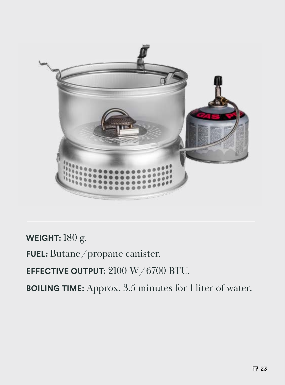

**WEIGHT:** 180 g.

**FUEL:** Butane/propane canister.

**EFFECTIVE OUTPUT:** 2100 W/6700 BTU.

**BOILING TIME:** Approx. 3.5 minutes for 1 liter of water.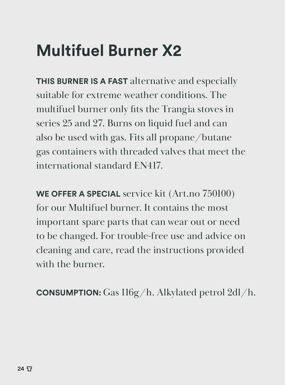## **Multifuel Burner X2**

**THIS BURNER IS A FAST** alternative and especially suitable for extreme weather conditions. The multifuel burner only fits the Trangia stoves in series 25 and 27. Burns on liquid fuel and can also be used with gas. Fits all propane/butane gas containers with threaded valves that meet the international standard EN417.

**WE OFFER A SPECIAL** service kit (Art.no 750100) for our Multifuel burner. It contains the most important spare parts that can wear out or need to be changed. For trouble-free use and advice on cleaning and care, read the instructions provided with the burner.

**CONSUMPTION:** Gas 116g/h. Alkylated petrol 2dl/h.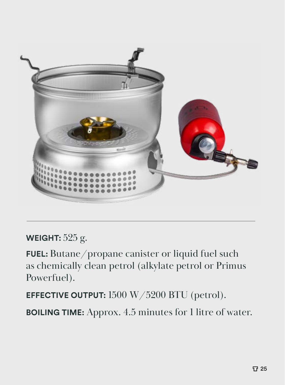

#### **WEIGHT:** 525 g.

**FUEL:** Butane/propane canister or liquid fuel such as chemically clean petrol (alkylate petrol or Primus Powerfuel).

**EFFECTIVE OUTPUT:** 1500 W/5200 BTU (petrol).

**BOILING TIME:** Approx. 4.5 minutes for 1 litre of water.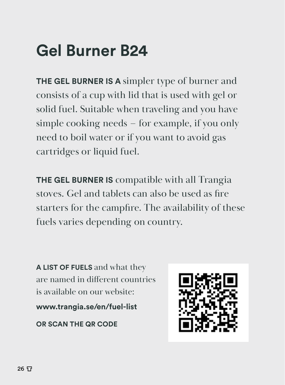## **Gel Burner B24**

**THE GEL BURNER IS A** simpler type of burner and consists of a cup with lid that is used with gel or solid fuel. Suitable when traveling and you have simple cooking needs – for example, if you only need to boil water or if you want to avoid gas cartridges or liquid fuel.

**THE GEL BURNER IS** compatible with all Trangia stoves. Gel and tablets can also be used as fire starters for the campfire. The availability of these fuels varies depending on country.

**A LIST OF FUELS** and what they are named in different countries is available on our website:

**www.trangia.se/en/fuel-list**

**OR SCAN THE QR CODE**

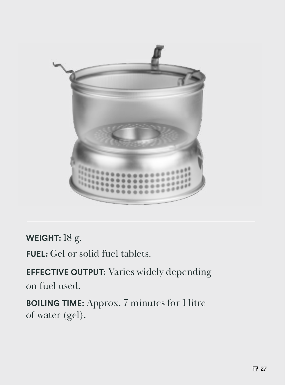

**WEIGHT:** 18 g.

**FUEL:** Gel or solid fuel tablets.

**EFFECTIVE OUTPUT:** Varies widely depending on fuel used.

**BOILING TIME:** Approx. 7 minutes for 1 litre of water (gel).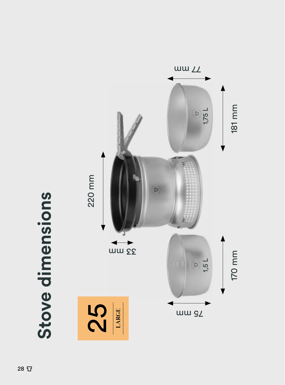

# Stove dimensions **Stove dimensions**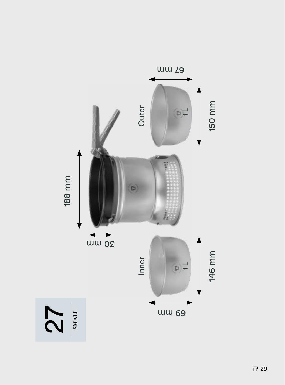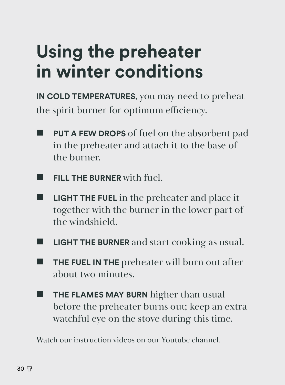## **Using the preheater in winter conditions**

**IN COLD TEMPERATURES,** you may need to preheat the spirit burner for optimum efficiency.

- **PUT A FEW DROPS** of fuel on the absorbent pad in the preheater and attach it to the base of the burner.
- **FILL THE BURNER** with fuel.
- **LIGHT THE FUEL** in the preheater and place it together with the burner in the lower part of the windshield.
- **LIGHT THE BURNER** and start cooking as usual.
- **THE FUEL IN THE** preheater will burn out after about two minutes.
- **THE FLAMES MAY BURN** higher than usual before the preheater burns out; keep an extra watchful eye on the stove during this time.

Watch our instruction videos on our Youtube channel.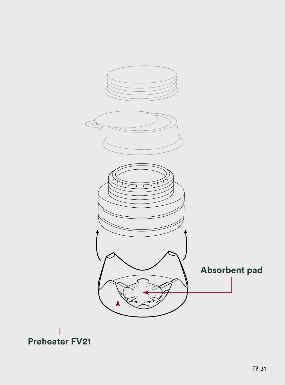